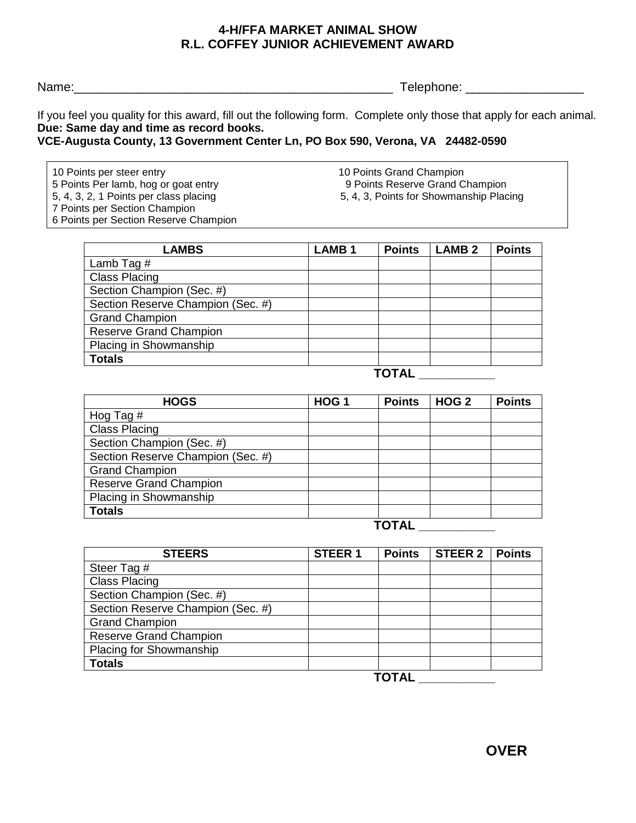## **4-H/FFA MARKET ANIMAL SHOW R.L. COFFEY JUNIOR ACHIEVEMENT AWARD**

Name:\_\_\_\_\_\_\_\_\_\_\_\_\_\_\_\_\_\_\_\_\_\_\_\_\_\_\_\_\_\_\_\_\_\_\_\_\_\_\_\_\_\_\_\_\_\_ Telephone: \_\_\_\_\_\_\_\_\_\_\_\_\_\_\_\_\_

If you feel you quality for this award, fill out the following form. Complete only those that apply for each animal. **Due: Same day and time as record books.**

**VCE-Augusta County, 13 Government Center Ln, PO Box 590, Verona, VA 24482-0590**

10 Points per steer entry 10 Points Grand Champion 5 Points Per lamb, hog or goat entry 9 Points Reserve Grand Champion 7 Points per Section Champion 6 Points per Section Reserve Champion

5, 4, 3, 2, 1 Points per class placing 5, 4, 3, Points for Showmanship Placing

| <b>LAMBS</b>                      | <b>LAMB1</b> | <b>Points</b> | <b>LAMB2</b> | <b>Points</b> |
|-----------------------------------|--------------|---------------|--------------|---------------|
| Lamb Tag $#$                      |              |               |              |               |
| <b>Class Placing</b>              |              |               |              |               |
| Section Champion (Sec. #)         |              |               |              |               |
| Section Reserve Champion (Sec. #) |              |               |              |               |
| <b>Grand Champion</b>             |              |               |              |               |
| <b>Reserve Grand Champion</b>     |              |               |              |               |
| Placing in Showmanship            |              |               |              |               |
| <b>Totals</b>                     |              |               |              |               |

**TOTAL \_\_\_\_\_\_\_\_\_\_\_**

| <b>HOGS</b>                       | HOG <sub>1</sub> | <b>Points</b> | HOG <sub>2</sub> | <b>Points</b> |
|-----------------------------------|------------------|---------------|------------------|---------------|
| Hog Tag $#$                       |                  |               |                  |               |
| <b>Class Placing</b>              |                  |               |                  |               |
| Section Champion (Sec. #)         |                  |               |                  |               |
| Section Reserve Champion (Sec. #) |                  |               |                  |               |
| <b>Grand Champion</b>             |                  |               |                  |               |
| <b>Reserve Grand Champion</b>     |                  |               |                  |               |
| Placing in Showmanship            |                  |               |                  |               |
| <b>Totals</b>                     |                  |               |                  |               |
|                                   |                  |               |                  |               |



| <b>STEERS</b>                     | <b>STEER 1</b> | <b>Points</b> | STEER 2 <sub>1</sub> | <b>Points</b> |
|-----------------------------------|----------------|---------------|----------------------|---------------|
| Steer Tag #                       |                |               |                      |               |
| <b>Class Placing</b>              |                |               |                      |               |
| Section Champion (Sec. #)         |                |               |                      |               |
| Section Reserve Champion (Sec. #) |                |               |                      |               |
| <b>Grand Champion</b>             |                |               |                      |               |
| <b>Reserve Grand Champion</b>     |                |               |                      |               |
| <b>Placing for Showmanship</b>    |                |               |                      |               |
| <b>Totals</b>                     |                |               |                      |               |
| TAT 81                            |                |               |                      |               |